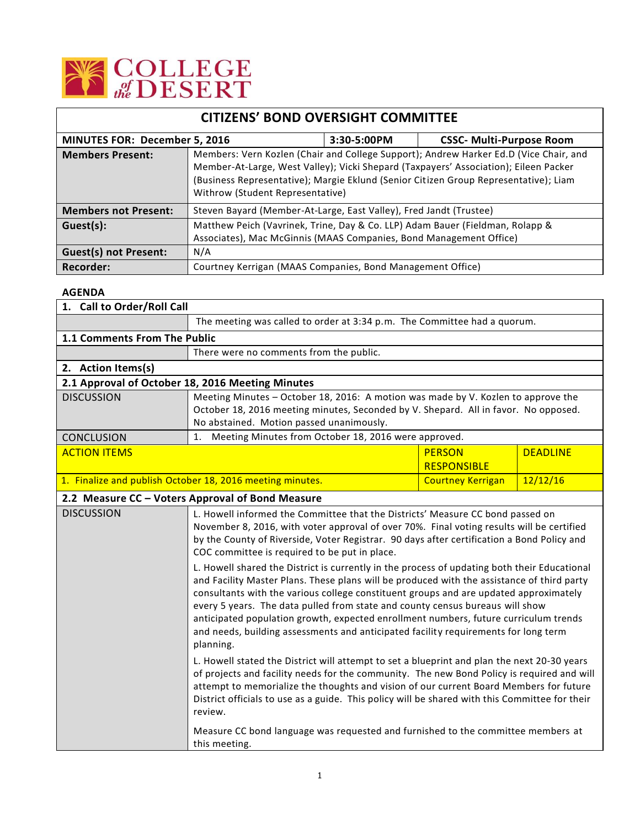

| <b>CITIZENS' BOND OVERSIGHT COMMITTEE</b> |                                                                                                                                                                                                                                                                                                           |             |                                 |  |
|-------------------------------------------|-----------------------------------------------------------------------------------------------------------------------------------------------------------------------------------------------------------------------------------------------------------------------------------------------------------|-------------|---------------------------------|--|
| <b>MINUTES FOR: December 5, 2016</b>      |                                                                                                                                                                                                                                                                                                           | 3:30-5:00PM | <b>CSSC- Multi-Purpose Room</b> |  |
| <b>Members Present:</b>                   | Members: Vern Kozlen (Chair and College Support); Andrew Harker Ed.D (Vice Chair, and<br>Member-At-Large, West Valley); Vicki Shepard (Taxpayers' Association); Eileen Packer<br>(Business Representative); Margie Eklund (Senior Citizen Group Representative); Liam<br>Withrow (Student Representative) |             |                                 |  |
| <b>Members not Present:</b>               | Steven Bayard (Member-At-Large, East Valley), Fred Jandt (Trustee)                                                                                                                                                                                                                                        |             |                                 |  |
| Guest(s):                                 | Matthew Peich (Vavrinek, Trine, Day & Co. LLP) Adam Bauer (Fieldman, Rolapp &<br>Associates), Mac McGinnis (MAAS Companies, Bond Management Office)                                                                                                                                                       |             |                                 |  |
| <b>Guest(s) not Present:</b>              | N/A                                                                                                                                                                                                                                                                                                       |             |                                 |  |
| Recorder:                                 | Courtney Kerrigan (MAAS Companies, Bond Management Office)                                                                                                                                                                                                                                                |             |                                 |  |

## **AGENDA**

| 1. Call to Order/Roll Call                                |                                                                                                                                                                                                                                                                                                                                                                                                                                                                  |                                     |                 |
|-----------------------------------------------------------|------------------------------------------------------------------------------------------------------------------------------------------------------------------------------------------------------------------------------------------------------------------------------------------------------------------------------------------------------------------------------------------------------------------------------------------------------------------|-------------------------------------|-----------------|
|                                                           | The meeting was called to order at 3:34 p.m. The Committee had a quorum.                                                                                                                                                                                                                                                                                                                                                                                         |                                     |                 |
| 1.1 Comments From The Public                              |                                                                                                                                                                                                                                                                                                                                                                                                                                                                  |                                     |                 |
|                                                           | There were no comments from the public.                                                                                                                                                                                                                                                                                                                                                                                                                          |                                     |                 |
| 2. Action Items(s)                                        |                                                                                                                                                                                                                                                                                                                                                                                                                                                                  |                                     |                 |
|                                                           | 2.1 Approval of October 18, 2016 Meeting Minutes                                                                                                                                                                                                                                                                                                                                                                                                                 |                                     |                 |
| <b>DISCUSSION</b>                                         | Meeting Minutes - October 18, 2016: A motion was made by V. Kozlen to approve the<br>October 18, 2016 meeting minutes, Seconded by V. Shepard. All in favor. No opposed.<br>No abstained. Motion passed unanimously.                                                                                                                                                                                                                                             |                                     |                 |
| <b>CONCLUSION</b>                                         | 1. Meeting Minutes from October 18, 2016 were approved.                                                                                                                                                                                                                                                                                                                                                                                                          |                                     |                 |
| <b>ACTION ITEMS</b>                                       |                                                                                                                                                                                                                                                                                                                                                                                                                                                                  | <b>PERSON</b><br><b>RESPONSIBLE</b> | <b>DEADLINE</b> |
| 1. Finalize and publish October 18, 2016 meeting minutes. |                                                                                                                                                                                                                                                                                                                                                                                                                                                                  | <b>Courtney Kerrigan</b>            | 12/12/16        |
|                                                           | 2.2 Measure CC - Voters Approval of Bond Measure                                                                                                                                                                                                                                                                                                                                                                                                                 |                                     |                 |
| <b>DISCUSSION</b>                                         | L. Howell informed the Committee that the Districts' Measure CC bond passed on<br>November 8, 2016, with voter approval of over 70%. Final voting results will be certified<br>by the County of Riverside, Voter Registrar. 90 days after certification a Bond Policy and<br>COC committee is required to be put in place.<br>L. Howell shared the District is currently in the process of updating both their Educational                                       |                                     |                 |
|                                                           | and Facility Master Plans. These plans will be produced with the assistance of third party<br>consultants with the various college constituent groups and are updated approximately<br>every 5 years. The data pulled from state and county census bureaus will show<br>anticipated population growth, expected enrollment numbers, future curriculum trends<br>and needs, building assessments and anticipated facility requirements for long term<br>planning. |                                     |                 |
|                                                           | L. Howell stated the District will attempt to set a blueprint and plan the next 20-30 years<br>of projects and facility needs for the community. The new Bond Policy is required and will<br>attempt to memorialize the thoughts and vision of our current Board Members for future<br>District officials to use as a guide. This policy will be shared with this Committee for their<br>review.                                                                 |                                     |                 |
|                                                           | Measure CC bond language was requested and furnished to the committee members at<br>this meeting.                                                                                                                                                                                                                                                                                                                                                                |                                     |                 |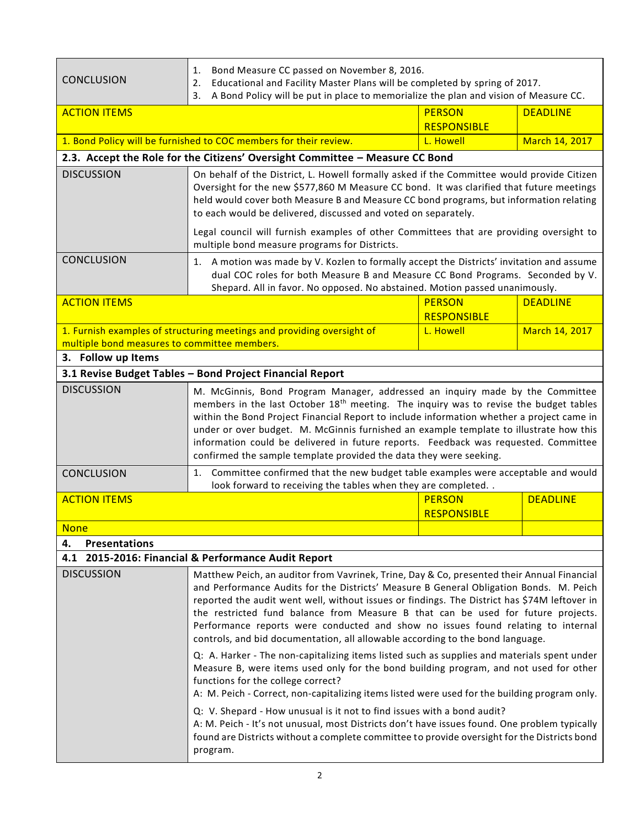| <b>CONCLUSION</b>                                                              | Bond Measure CC passed on November 8, 2016.<br>1.<br>Educational and Facility Master Plans will be completed by spring of 2017.<br>2.<br>A Bond Policy will be put in place to memorialize the plan and vision of Measure CC.<br>3.                                                                                                                                                                                                                                                                                                                                                                                                                                                                                                                                                                                                                                                                                                                                                                                                                                                                                                                                                                                          |                                     |                       |
|--------------------------------------------------------------------------------|------------------------------------------------------------------------------------------------------------------------------------------------------------------------------------------------------------------------------------------------------------------------------------------------------------------------------------------------------------------------------------------------------------------------------------------------------------------------------------------------------------------------------------------------------------------------------------------------------------------------------------------------------------------------------------------------------------------------------------------------------------------------------------------------------------------------------------------------------------------------------------------------------------------------------------------------------------------------------------------------------------------------------------------------------------------------------------------------------------------------------------------------------------------------------------------------------------------------------|-------------------------------------|-----------------------|
| <b>ACTION ITEMS</b>                                                            |                                                                                                                                                                                                                                                                                                                                                                                                                                                                                                                                                                                                                                                                                                                                                                                                                                                                                                                                                                                                                                                                                                                                                                                                                              | <b>PERSON</b><br><b>RESPONSIBLE</b> | <b>DEADLINE</b>       |
|                                                                                | 1. Bond Policy will be furnished to COC members for their review.                                                                                                                                                                                                                                                                                                                                                                                                                                                                                                                                                                                                                                                                                                                                                                                                                                                                                                                                                                                                                                                                                                                                                            | L. Howell                           | March 14, 2017        |
|                                                                                | 2.3. Accept the Role for the Citizens' Oversight Committee - Measure CC Bond                                                                                                                                                                                                                                                                                                                                                                                                                                                                                                                                                                                                                                                                                                                                                                                                                                                                                                                                                                                                                                                                                                                                                 |                                     |                       |
| <b>DISCUSSION</b>                                                              | On behalf of the District, L. Howell formally asked if the Committee would provide Citizen<br>Oversight for the new \$577,860 M Measure CC bond. It was clarified that future meetings<br>held would cover both Measure B and Measure CC bond programs, but information relating<br>to each would be delivered, discussed and voted on separately.<br>Legal council will furnish examples of other Committees that are providing oversight to                                                                                                                                                                                                                                                                                                                                                                                                                                                                                                                                                                                                                                                                                                                                                                                |                                     |                       |
| <b>CONCLUSION</b>                                                              | multiple bond measure programs for Districts.<br>1. A motion was made by V. Kozlen to formally accept the Districts' invitation and assume<br>dual COC roles for both Measure B and Measure CC Bond Programs. Seconded by V.<br>Shepard. All in favor. No opposed. No abstained. Motion passed unanimously.                                                                                                                                                                                                                                                                                                                                                                                                                                                                                                                                                                                                                                                                                                                                                                                                                                                                                                                  |                                     |                       |
| <b>ACTION ITEMS</b>                                                            |                                                                                                                                                                                                                                                                                                                                                                                                                                                                                                                                                                                                                                                                                                                                                                                                                                                                                                                                                                                                                                                                                                                                                                                                                              | <b>PERSON</b><br><b>RESPONSIBLE</b> | <b>DEADLINE</b>       |
|                                                                                | 1. Furnish examples of structuring meetings and providing oversight of<br>L. Howell<br>multiple bond measures to committee members.                                                                                                                                                                                                                                                                                                                                                                                                                                                                                                                                                                                                                                                                                                                                                                                                                                                                                                                                                                                                                                                                                          |                                     | <b>March 14, 2017</b> |
| 3. Follow up Items<br>3.1 Revise Budget Tables - Bond Project Financial Report |                                                                                                                                                                                                                                                                                                                                                                                                                                                                                                                                                                                                                                                                                                                                                                                                                                                                                                                                                                                                                                                                                                                                                                                                                              |                                     |                       |
| <b>DISCUSSION</b>                                                              | M. McGinnis, Bond Program Manager, addressed an inquiry made by the Committee<br>members in the last October 18 <sup>th</sup> meeting. The inquiry was to revise the budget tables<br>within the Bond Project Financial Report to include information whether a project came in<br>under or over budget. M. McGinnis furnished an example template to illustrate how this<br>information could be delivered in future reports. Feedback was requested. Committee<br>confirmed the sample template provided the data they were seeking.                                                                                                                                                                                                                                                                                                                                                                                                                                                                                                                                                                                                                                                                                       |                                     |                       |
| <b>CONCLUSION</b>                                                              | 1. Committee confirmed that the new budget table examples were acceptable and would<br>look forward to receiving the tables when they are completed. .                                                                                                                                                                                                                                                                                                                                                                                                                                                                                                                                                                                                                                                                                                                                                                                                                                                                                                                                                                                                                                                                       |                                     |                       |
| <b>ACTION ITEMS</b>                                                            |                                                                                                                                                                                                                                                                                                                                                                                                                                                                                                                                                                                                                                                                                                                                                                                                                                                                                                                                                                                                                                                                                                                                                                                                                              | <b>PERSON</b><br><b>RESPONSIBLE</b> | <b>DEADLINE</b>       |
| <b>None</b>                                                                    |                                                                                                                                                                                                                                                                                                                                                                                                                                                                                                                                                                                                                                                                                                                                                                                                                                                                                                                                                                                                                                                                                                                                                                                                                              |                                     |                       |
| 4.<br><b>Presentations</b>                                                     |                                                                                                                                                                                                                                                                                                                                                                                                                                                                                                                                                                                                                                                                                                                                                                                                                                                                                                                                                                                                                                                                                                                                                                                                                              |                                     |                       |
| <b>DISCUSSION</b>                                                              | 4.1 2015-2016: Financial & Performance Audit Report<br>Matthew Peich, an auditor from Vavrinek, Trine, Day & Co, presented their Annual Financial<br>and Performance Audits for the Districts' Measure B General Obligation Bonds. M. Peich<br>reported the audit went well, without issues or findings. The District has \$74M leftover in<br>the restricted fund balance from Measure B that can be used for future projects.<br>Performance reports were conducted and show no issues found relating to internal<br>controls, and bid documentation, all allowable according to the bond language.<br>Q: A. Harker - The non-capitalizing items listed such as supplies and materials spent under<br>Measure B, were items used only for the bond building program, and not used for other<br>functions for the college correct?<br>A: M. Peich - Correct, non-capitalizing items listed were used for the building program only.<br>Q: V. Shepard - How unusual is it not to find issues with a bond audit?<br>A: M. Peich - It's not unusual, most Districts don't have issues found. One problem typically<br>found are Districts without a complete committee to provide oversight for the Districts bond<br>program. |                                     |                       |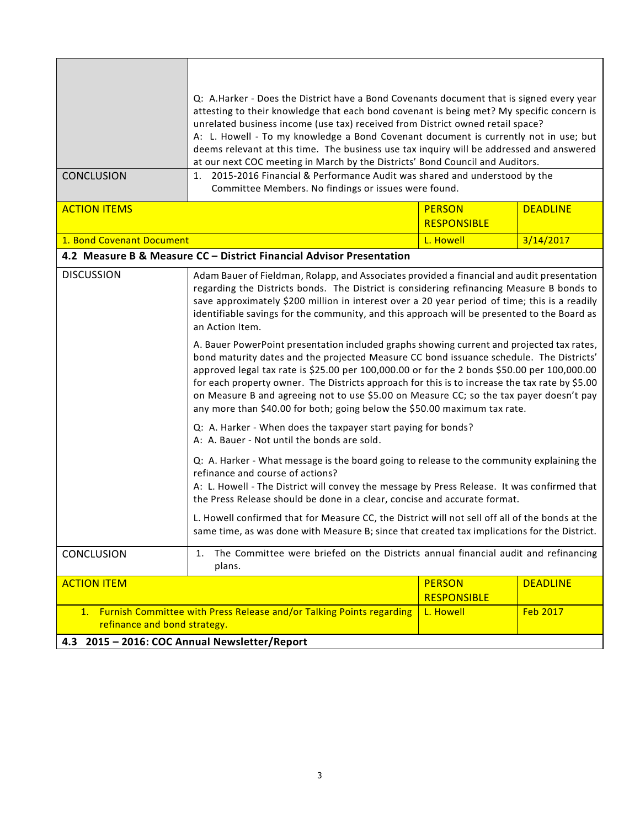| <b>CONCLUSION</b>                                                                                          | Q: A.Harker - Does the District have a Bond Covenants document that is signed every year<br>attesting to their knowledge that each bond covenant is being met? My specific concern is<br>unrelated business income (use tax) received from District owned retail space?<br>A: L. Howell - To my knowledge a Bond Covenant document is currently not in use; but<br>deems relevant at this time. The business use tax inquiry will be addressed and answered<br>at our next COC meeting in March by the Districts' Bond Council and Auditors.<br>2015-2016 Financial & Performance Audit was shared and understood by the<br>1.<br>Committee Members. No findings or issues were found.                                                                                                                                                                                                                                                                                                                                                                                                                                                                                                                                                                                                                                                                                                                                                                                                                                                                                                                      |                                     |                 |
|------------------------------------------------------------------------------------------------------------|-------------------------------------------------------------------------------------------------------------------------------------------------------------------------------------------------------------------------------------------------------------------------------------------------------------------------------------------------------------------------------------------------------------------------------------------------------------------------------------------------------------------------------------------------------------------------------------------------------------------------------------------------------------------------------------------------------------------------------------------------------------------------------------------------------------------------------------------------------------------------------------------------------------------------------------------------------------------------------------------------------------------------------------------------------------------------------------------------------------------------------------------------------------------------------------------------------------------------------------------------------------------------------------------------------------------------------------------------------------------------------------------------------------------------------------------------------------------------------------------------------------------------------------------------------------------------------------------------------------|-------------------------------------|-----------------|
| <b>ACTION ITEMS</b>                                                                                        |                                                                                                                                                                                                                                                                                                                                                                                                                                                                                                                                                                                                                                                                                                                                                                                                                                                                                                                                                                                                                                                                                                                                                                                                                                                                                                                                                                                                                                                                                                                                                                                                             | <b>PERSON</b><br><b>RESPONSIBLE</b> | <b>DEADLINE</b> |
| 1. Bond Covenant Document                                                                                  |                                                                                                                                                                                                                                                                                                                                                                                                                                                                                                                                                                                                                                                                                                                                                                                                                                                                                                                                                                                                                                                                                                                                                                                                                                                                                                                                                                                                                                                                                                                                                                                                             | L. Howell                           | 3/14/2017       |
|                                                                                                            | 4.2 Measure B & Measure CC - District Financial Advisor Presentation                                                                                                                                                                                                                                                                                                                                                                                                                                                                                                                                                                                                                                                                                                                                                                                                                                                                                                                                                                                                                                                                                                                                                                                                                                                                                                                                                                                                                                                                                                                                        |                                     |                 |
| <b>DISCUSSION</b>                                                                                          | Adam Bauer of Fieldman, Rolapp, and Associates provided a financial and audit presentation<br>regarding the Districts bonds. The District is considering refinancing Measure B bonds to<br>save approximately \$200 million in interest over a 20 year period of time; this is a readily<br>identifiable savings for the community, and this approach will be presented to the Board as<br>an Action Item.<br>A. Bauer PowerPoint presentation included graphs showing current and projected tax rates,<br>bond maturity dates and the projected Measure CC bond issuance schedule. The Districts'<br>approved legal tax rate is \$25.00 per 100,000.00 or for the 2 bonds \$50.00 per 100,000.00<br>for each property owner. The Districts approach for this is to increase the tax rate by \$5.00<br>on Measure B and agreeing not to use \$5.00 on Measure CC; so the tax payer doesn't pay<br>any more than \$40.00 for both; going below the \$50.00 maximum tax rate.<br>Q: A. Harker - When does the taxpayer start paying for bonds?<br>A: A. Bauer - Not until the bonds are sold.<br>Q: A. Harker - What message is the board going to release to the community explaining the<br>refinance and course of actions?<br>A: L. Howell - The District will convey the message by Press Release. It was confirmed that<br>the Press Release should be done in a clear, concise and accurate format.<br>L. Howell confirmed that for Measure CC, the District will not sell off all of the bonds at the<br>same time, as was done with Measure B; since that created tax implications for the District. |                                     |                 |
| <b>CONCLUSION</b>                                                                                          | The Committee were briefed on the Districts annual financial audit and refinancing<br>1.<br>plans.                                                                                                                                                                                                                                                                                                                                                                                                                                                                                                                                                                                                                                                                                                                                                                                                                                                                                                                                                                                                                                                                                                                                                                                                                                                                                                                                                                                                                                                                                                          |                                     |                 |
| <b>ACTION ITEM</b>                                                                                         |                                                                                                                                                                                                                                                                                                                                                                                                                                                                                                                                                                                                                                                                                                                                                                                                                                                                                                                                                                                                                                                                                                                                                                                                                                                                                                                                                                                                                                                                                                                                                                                                             | <b>PERSON</b><br><b>RESPONSIBLE</b> | <b>DEADLINE</b> |
| Furnish Committee with Press Release and/or Talking Points regarding<br>1.<br>refinance and bond strategy. |                                                                                                                                                                                                                                                                                                                                                                                                                                                                                                                                                                                                                                                                                                                                                                                                                                                                                                                                                                                                                                                                                                                                                                                                                                                                                                                                                                                                                                                                                                                                                                                                             | L. Howell                           | <b>Feb 2017</b> |
| 4.3 2015 - 2016: COC Annual Newsletter/Report                                                              |                                                                                                                                                                                                                                                                                                                                                                                                                                                                                                                                                                                                                                                                                                                                                                                                                                                                                                                                                                                                                                                                                                                                                                                                                                                                                                                                                                                                                                                                                                                                                                                                             |                                     |                 |